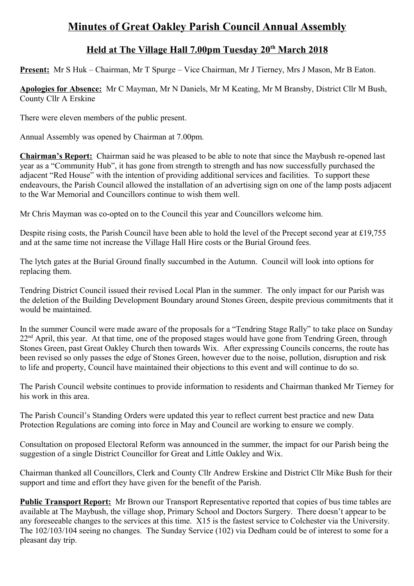## **Minutes of Great Oakley Parish Council Annual Assembly**

## **Held at The Village Hall 7.00pm Tuesday 20th March 2018**

**Present:** Mr S Huk – Chairman, Mr T Spurge – Vice Chairman, Mr J Tierney, Mrs J Mason, Mr B Eaton.

**Apologies for Absence:** Mr C Mayman, Mr N Daniels, Mr M Keating, Mr M Bransby, District Cllr M Bush, County Cllr A Erskine

There were eleven members of the public present.

Annual Assembly was opened by Chairman at 7.00pm.

**Chairman's Report:** Chairman said he was pleased to be able to note that since the Maybush re-opened last year as a "Community Hub", it has gone from strength to strength and has now successfully purchased the adjacent "Red House" with the intention of providing additional services and facilities. To support these endeavours, the Parish Council allowed the installation of an advertising sign on one of the lamp posts adjacent to the War Memorial and Councillors continue to wish them well.

Mr Chris Mayman was co-opted on to the Council this year and Councillors welcome him.

Despite rising costs, the Parish Council have been able to hold the level of the Precept second year at £19,755 and at the same time not increase the Village Hall Hire costs or the Burial Ground fees.

The lytch gates at the Burial Ground finally succumbed in the Autumn. Council will look into options for replacing them.

Tendring District Council issued their revised Local Plan in the summer. The only impact for our Parish was the deletion of the Building Development Boundary around Stones Green, despite previous commitments that it would be maintained.

In the summer Council were made aware of the proposals for a "Tendring Stage Rally" to take place on Sunday 22<sup>nd</sup> April, this year. At that time, one of the proposed stages would have gone from Tendring Green, through Stones Green, past Great Oakley Church then towards Wix. After expressing Councils concerns, the route has been revised so only passes the edge of Stones Green, however due to the noise, pollution, disruption and risk to life and property, Council have maintained their objections to this event and will continue to do so.

The Parish Council website continues to provide information to residents and Chairman thanked Mr Tierney for his work in this area.

The Parish Council's Standing Orders were updated this year to reflect current best practice and new Data Protection Regulations are coming into force in May and Council are working to ensure we comply.

Consultation on proposed Electoral Reform was announced in the summer, the impact for our Parish being the suggestion of a single District Councillor for Great and Little Oakley and Wix.

Chairman thanked all Councillors, Clerk and County Cllr Andrew Erskine and District Cllr Mike Bush for their support and time and effort they have given for the benefit of the Parish.

**Public Transport Report:** Mr Brown our Transport Representative reported that copies of bus time tables are available at The Maybush, the village shop, Primary School and Doctors Surgery. There doesn't appear to be any foreseeable changes to the services at this time. X15 is the fastest service to Colchester via the University. The 102/103/104 seeing no changes. The Sunday Service (102) via Dedham could be of interest to some for a pleasant day trip.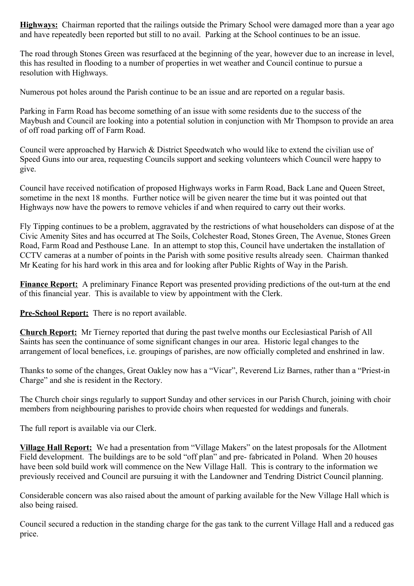**Highways:** Chairman reported that the railings outside the Primary School were damaged more than a year ago and have repeatedly been reported but still to no avail. Parking at the School continues to be an issue.

The road through Stones Green was resurfaced at the beginning of the year, however due to an increase in level, this has resulted in flooding to a number of properties in wet weather and Council continue to pursue a resolution with Highways.

Numerous pot holes around the Parish continue to be an issue and are reported on a regular basis.

Parking in Farm Road has become something of an issue with some residents due to the success of the Maybush and Council are looking into a potential solution in conjunction with Mr Thompson to provide an area of off road parking off of Farm Road.

Council were approached by Harwich & District Speedwatch who would like to extend the civilian use of Speed Guns into our area, requesting Councils support and seeking volunteers which Council were happy to give.

Council have received notification of proposed Highways works in Farm Road, Back Lane and Queen Street, sometime in the next 18 months. Further notice will be given nearer the time but it was pointed out that Highways now have the powers to remove vehicles if and when required to carry out their works.

Fly Tipping continues to be a problem, aggravated by the restrictions of what householders can dispose of at the Civic Amenity Sites and has occurred at The Soils, Colchester Road, Stones Green, The Avenue, Stones Green Road, Farm Road and Pesthouse Lane. In an attempt to stop this, Council have undertaken the installation of CCTV cameras at a number of points in the Parish with some positive results already seen. Chairman thanked Mr Keating for his hard work in this area and for looking after Public Rights of Way in the Parish.

**Finance Report:** A preliminary Finance Report was presented providing predictions of the out-turn at the end of this financial year. This is available to view by appointment with the Clerk.

**Pre-School Report:** There is no report available.

**Church Report:** Mr Tierney reported that during the past twelve months our Ecclesiastical Parish of All Saints has seen the continuance of some significant changes in our area. Historic legal changes to the arrangement of local benefices, i.e. groupings of parishes, are now officially completed and enshrined in law.

Thanks to some of the changes, Great Oakley now has a "Vicar", Reverend Liz Barnes, rather than a "Priest-in Charge" and she is resident in the Rectory.

The Church choir sings regularly to support Sunday and other services in our Parish Church, joining with choir members from neighbouring parishes to provide choirs when requested for weddings and funerals.

The full report is available via our Clerk.

**Village Hall Report:** We had a presentation from "Village Makers" on the latest proposals for the Allotment Field development. The buildings are to be sold "off plan" and pre- fabricated in Poland. When 20 houses have been sold build work will commence on the New Village Hall. This is contrary to the information we previously received and Council are pursuing it with the Landowner and Tendring District Council planning.

Considerable concern was also raised about the amount of parking available for the New Village Hall which is also being raised.

Council secured a reduction in the standing charge for the gas tank to the current Village Hall and a reduced gas price.